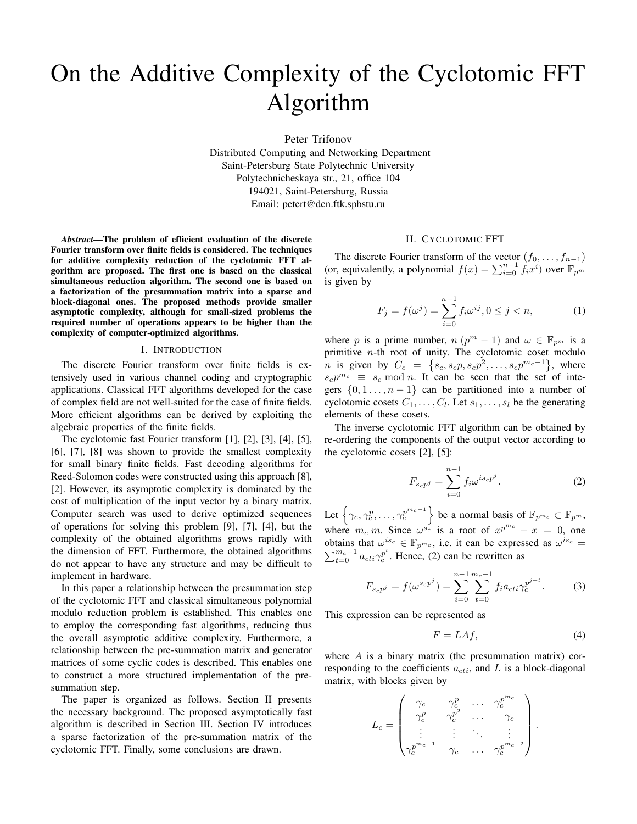# On the Additive Complexity of the Cyclotomic FFT Algorithm

Peter Trifonov

Distributed Computing and Networking Department Saint-Petersburg State Polytechnic University Polytechnicheskaya str., 21, office 104 194021, Saint-Petersburg, Russia Email: petert@dcn.ftk.spbstu.ru

*Abstract*—The problem of efficient evaluation of the discrete Fourier transform over finite fields is considered. The techniques for additive complexity reduction of the cyclotomic FFT algorithm are proposed. The first one is based on the classical simultaneous reduction algorithm. The second one is based on a factorization of the presummation matrix into a sparse and block-diagonal ones. The proposed methods provide smaller asymptotic complexity, although for small-sized problems the required number of operations appears to be higher than the complexity of computer-optimized algorithms.

#### I. INTRODUCTION

The discrete Fourier transform over finite fields is extensively used in various channel coding and cryptographic applications. Classical FFT algorithms developed for the case of complex field are not well-suited for the case of finite fields. More efficient algorithms can be derived by exploiting the algebraic properties of the finite fields.

The cyclotomic fast Fourier transform [1], [2], [3], [4], [5], [6], [7], [8] was shown to provide the smallest complexity for small binary finite fields. Fast decoding algorithms for Reed-Solomon codes were constructed using this approach [8], [2]. However, its asymptotic complexity is dominated by the cost of multiplication of the input vector by a binary matrix. Computer search was used to derive optimized sequences of operations for solving this problem [9], [7], [4], but the complexity of the obtained algorithms grows rapidly with the dimension of FFT. Furthermore, the obtained algorithms do not appear to have any structure and may be difficult to implement in hardware.

In this paper a relationship between the presummation step of the cyclotomic FFT and classical simultaneous polynomial modulo reduction problem is established. This enables one to employ the corresponding fast algorithms, reducing thus the overall asymptotic additive complexity. Furthermore, a relationship between the pre-summation matrix and generator matrices of some cyclic codes is described. This enables one to construct a more structured implementation of the presummation step.

The paper is organized as follows. Section II presents the necessary background. The proposed asymptotically fast algorithm is described in Section III. Section IV introduces a sparse factorization of the pre-summation matrix of the cyclotomic FFT. Finally, some conclusions are drawn.

# II. CYCLOTOMIC FFT

The discrete Fourier transform of the vector  $(f_0, \ldots, f_{n-1})$ (or, equivalently, a polynomial  $f(x) = \sum_{i=0}^{n-1} f_i x^i$ ) over  $\mathbb{F}_{p^m}$ is given by

$$
F_j = f(\omega^j) = \sum_{i=0}^{n-1} f_i \omega^{ij}, 0 \le j < n,\tag{1}
$$

where *p* is a prime number,  $n|(p^m - 1)$  and  $\omega \in \mathbb{F}_{p^m}$  is a primitive *n*-th root of unity. The cyclotomic coset modulo *n* is given by  $C_c = \{s_c, s_c p, s_c p^2, \dots, s_c p^{m_c-1}\},$  where  $s_c p^{m_c} \equiv s_c \mod n$ . It can be seen that the set of integers  $\{0, 1, \ldots, n-1\}$  can be partitioned into a number of cyclotomic cosets  $C_1, \ldots, C_l$ . Let  $s_1, \ldots, s_l$  be the generating elements of these cosets.

The inverse cyclotomic FFT algorithm can be obtained by re-ordering the components of the output vector according to the cyclotomic cosets [2], [5]:

$$
F_{s_c p^j} = \sum_{i=0}^{n-1} f_i \omega^{i s_c p^j}.
$$
 (2)

Let  $\left\{\gamma_c, \gamma_c^p, \ldots, \gamma_c^{p^{m_c-1}}\right\}$  be a normal basis of  $\mathbb{F}_{p^{m_c}} \subset \mathbb{F}_{p^m}$ , where  $m_c|m$ . Since  $\omega^{s_c}$  is a root of  $x^{p^{m_c}} - x = 0$ , one obtains that  $\omega^{is_c} \in \mathbb{F}_{p^{m_c}}$ , i.e. it can be expressed as  $\omega^{is_c} =$  $\sum_{t=0}^{m_c-1} a_{cti} \gamma_c^{p^t}$ . Hence, (2) can be rewritten as

$$
F_{s_c p^j} = f(\omega^{s_c p^j}) = \sum_{i=0}^{n-1} \sum_{t=0}^{m_c - 1} f_i a_{cti} \gamma_c^{p^{j+t}}.
$$
 (3)

This expression can be represented as

$$
F = LAf,\t\t(4)
$$

where *A* is a binary matrix (the presummation matrix) corresponding to the coefficients  $a_{cti}$ , and  $L$  is a block-diagonal matrix, with blocks given by

$$
L_c = \begin{pmatrix} \gamma_c & \gamma_c^p & \cdots & \gamma_c^{p^{m_c-1}} \\ \gamma_c^p & \gamma_c^p & \cdots & \gamma_c \\ \vdots & \vdots & \ddots & \vdots \\ \gamma_c^{p^{m_c-1}} & \gamma_c & \cdots & \gamma_c^{p^{m_c-2}} \end{pmatrix}.
$$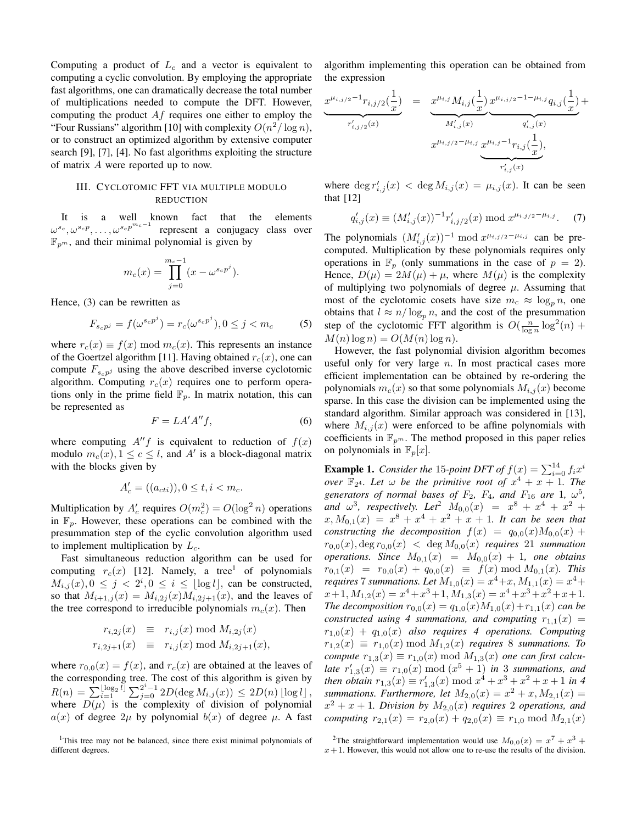Computing a product of *L<sup>c</sup>* and a vector is equivalent to computing a cyclic convolution. By employing the appropriate fast algorithms, one can dramatically decrease the total number of multiplications needed to compute the DFT. However, computing the product *Af* requires one either to employ the "Four Russians" algorithm [10] with complexity  $O(n^2/\log n)$ , or to construct an optimized algorithm by extensive computer search [9], [7], [4]. No fast algorithms exploiting the structure of matrix *A* were reported up to now.

## III. CYCLOTOMIC FFT VIA MULTIPLE MODULO REDUCTION

It is a well known fact that the elements  $\omega^{s_c},\omega^{s_c p},\dots,\omega^{s_c p^{m_c-1}}$ represent a conjugacy class over  $\mathbb{F}_{p^m}$ , and their minimal polynomial is given by

$$
m_c(x) = \prod_{j=0}^{m_c-1} (x - \omega^{s_c p^j}).
$$

Hence, (3) can be rewritten as

$$
F_{s_c p^j} = f(\omega^{s_c p^j}) = r_c(\omega^{s_c p^j}), 0 \le j < m_c \tag{5}
$$

where  $r_c(x) \equiv f(x) \mod m_c(x)$ . This represents an instance of the Goertzel algorithm [11]. Having obtained  $r_c(x)$ , one can compute  $F_{s_c} p^j$  using the above described inverse cyclotomic algorithm. Computing  $r_c(x)$  requires one to perform operations only in the prime field  $\mathbb{F}_p$ . In matrix notation, this can be represented as

$$
F = LA'A''f,\t\t(6)
$$

where computing  $A''f$  is equivalent to reduction of  $f(x)$ modulo  $m_c(x)$ ,  $1 \le c \le l$ , and  $A'$  is a block-diagonal matrix with the blocks given by

$$
A'_{c} = ((a_{cti})), 0 \le t, i < m_c.
$$

Multiplication by  $A'_c$  requires  $O(m_c^2) = O(\log^2 n)$  operations in  $\mathbb{F}_p$ . However, these operations can be combined with the presummation step of the cyclic convolution algorithm used to implement multiplication by *Lc*.

Fast simultaneous reduction algorithm can be used for computing  $r_c(x)$  [12]. Namely, a tree<sup>1</sup> of polynomials  $M_{i,j}(x), 0 \leq j < 2^i, 0 \leq i \leq \lfloor \log l \rfloor$ , can be constructed, so that  $M_{i+1,j}(x) = M_{i,2j}(x)M_{i,2j+1}(x)$ , and the leaves of the tree correspond to irreducible polynomials  $m<sub>c</sub>(x)$ . Then

$$
r_{i,2j}(x) \equiv r_{i,j}(x) \mod M_{i,2j}(x)
$$
  

$$
r_{i,2j+1}(x) \equiv r_{i,j}(x) \mod M_{i,2j+1}(x),
$$

where  $r_{0,0}(x) = f(x)$ , and  $r_c(x)$  are obtained at the leaves of the corresponding tree. The cost of this algorithm is given by  $R(n) = \sum_{i=1}^{\infty} \left[ \log_2 i \right] \sum_{j=0}^{2^i-1} 2D(\deg M_{i,j}(x)) \leq 2D(n) \left[ \log l \right]$ where  $D(\mu)$  is the complexity of division of polynomial  $a(x)$  of degree 2 $\mu$  by polynomial  $b(x)$  of degree  $\mu$ . A fast

<sup>1</sup>This tree may not be balanced, since there exist minimal polynomials of different degrees.

algorithm implementing this operation can be obtained from the expression

$$
\underbrace{x^{\mu_{i,j/2}-1}r_{i,j/2}(\frac{1}{x})}_{r'_{i,j/2}(x)} = \underbrace{x^{\mu_{i,j}}M_{i,j}(\frac{1}{x})}_{M'_{i,j}(x)} x^{\mu_{i,j/2}-1-\mu_{i,j}}q_{i,j}(\frac{1}{x})}_{q'_{i,j}(x)} + \underbrace{x^{\mu_{i,j/2}-\mu_{i,j}}x^{\mu_{i,j}-1}r_{i,j}(\frac{1}{x})}_{r'_{i,j}(x)},
$$

where  $\deg r'_{i,j}(x) < \deg M_{i,j}(x) = \mu_{i,j}(x)$ . It can be seen that  $[12]$ 

$$
q'_{i,j}(x) \equiv (M'_{i,j}(x))^{-1} r'_{i,j/2}(x) \bmod x^{\mu_{i,j/2} - \mu_{i,j}}.
$$
 (7)

The polynomials  $(M'_{i,j}(x))^{-1} \mod x^{\mu_{i,j/2} - \mu_{i,j}}$  can be precomputed. Multiplication by these polynomials requires only operations in  $\mathbb{F}_p$  (only summations in the case of  $p = 2$ ). Hence,  $D(\mu) = 2M(\mu) + \mu$ , where  $M(\mu)$  is the complexity of multiplying two polynomials of degree *µ*. Assuming that most of the cyclotomic cosets have size  $m_c \approx \log_n n$ , one obtains that  $l \approx n/\log_p n$ , and the cost of the presummation step of the cyclotomic FFT algorithm is  $O(\frac{n}{\log n} \log^2(n) +$  $M(n) \log n = O(M(n) \log n)$ .

However, the fast polynomial division algorithm becomes useful only for very large *n*. In most practical cases more efficient implementation can be obtained by re-ordering the polynomials  $m_c(x)$  so that some polynomials  $M_{i,j}(x)$  become sparse. In this case the division can be implemented using the standard algorithm. Similar approach was considered in [13], where  $M_{i,j}(x)$  were enforced to be affine polynomials with coefficients in  $\mathbb{F}_{p^m}$ . The method proposed in this paper relies on polynomials in  $\mathbb{F}_p[x]$ .

**Example 1.** *Consider the* 15-point DFT of  $f(x) = \sum_{i=0}^{14} f_i x^i$ *over*  $\mathbb{F}_{2^4}$ *. Let*  $\omega$  *be the primitive root of*  $x^4 + x + 1$ *. The generators of normal bases of*  $F_2$ ,  $F_4$ , and  $F_{16}$  are 1,  $\omega^5$ , *and*  $\omega^3$ , respectively. Let<sup>2</sup>  $M_{0,0}(x) = x^8 + x^4 + x^2 +$  $x, M_{0,1}(x) = x^8 + x^4 + x^2 + x + 1$ . It can be seen that *constructing the decomposition*  $f(x) = q_{0,0}(x)M_{0,0}(x) +$  $r_{0,0}(x)$ , deg  $r_{0,0}(x) < \deg M_{0,0}(x)$  *requires* 21 *summation operations.* Since  $M_{0,1}(x) = M_{0,0}(x) + 1$ , one obtains  $r_{0,1}(x) = r_{0,0}(x) + q_{0,0}(x) \equiv f(x) \mod M_{0,1}(x)$ *. This requires* 7 *summations. Let*  $M_{1,0}(x) = x^4 + x, M_{1,1}(x) = x^4 +$  $x+1, M_{1,2}(x) = x^4 + x^3 + 1, M_{1,3}(x) = x^4 + x^3 + x^2 + x + 1.$ *The decomposition*  $r_{0,0}(x) = q_{1,0}(x)M_{1,0}(x) + r_{1,1}(x)$  *can be constructed using 4 summations, and computing*  $r_{1,1}(x) =$  $r_{1,0}(x) + q_{1,0}(x)$  *also requires 4 operations. Computing*  $r_{1,2}(x) \equiv r_{1,0}(x) \mod M_{1,2}(x)$  *requires* 8 *summations. To compute*  $r_{1,3}(x) \equiv r_{1,0}(x) \mod M_{1,3}(x)$  *one can first calculate*  $r'_{1,3}(x) \equiv r_{1,0}(x) \mod (x^5 + 1)$  *in* 3 *summations, and then obtain*  $r_{1,3}(x) \equiv r'_{1,3}(x) \mod x^4 + x^3 + x^2 + x + 1$  *in 4 summations. Furthermore, let*  $M_{2,0}(x) = x^2 + x, M_{2,1}(x) = 0$  $x^2 + x + 1$ *. Division by*  $M_{2,0}(x)$  *requires* 2 *operations, and computing*  $r_{2,1}(x) = r_{2,0}(x) + q_{2,0}(x) \equiv r_{1,0} \mod M_{2,1}(x)$ 

<sup>2</sup>The straightforward implementation would use  $M_{0,0}(x) = x^7 + x^3 +$  $x + 1$ . However, this would not allow one to re-use the results of the division.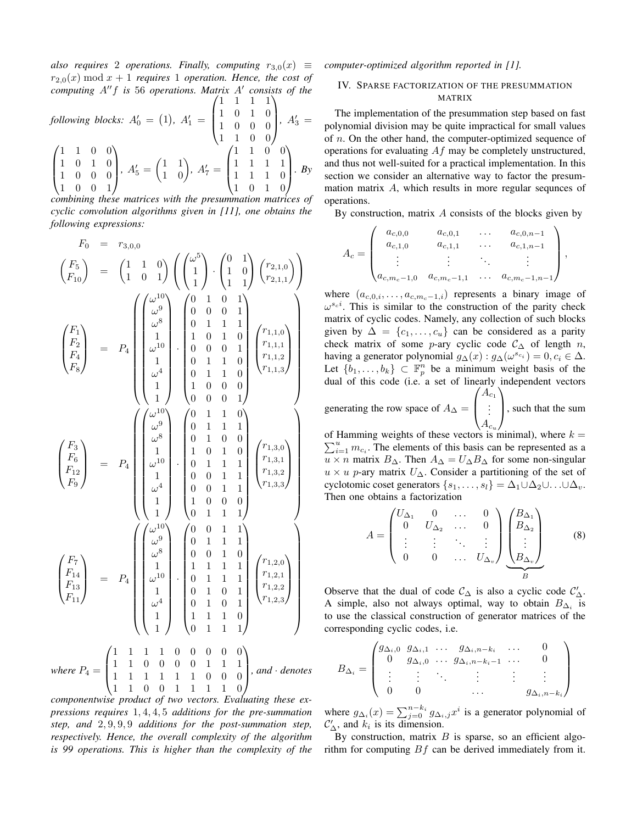*also requires* 2 *operations. Finally, computing*  $r_{3,0}(x) \equiv$  $r_{2,0}(x) \mod x + 1$  *requires* 1 *operation. Hence, the cost of computing A′′f is* 56 *operations. Matrix A′ consists of the*  $(1 \ 1 \ 1 \ 1)$ 

following blocks: 
$$
A'_0 = (1)
$$
,  $A'_1 = \begin{pmatrix} 1 & 0 & 1 & 0 \\ 1 & 0 & 0 & 0 \\ 1 & 1 & 0 & 0 \end{pmatrix}$ ,  $A'_3 = \begin{pmatrix} 1 & 1 & 0 & 0 \\ 1 & 0 & 1 & 0 \\ 1 & 0 & 0 & 0 \\ 1 & 0 & 0 & 1 \end{pmatrix}$ ,  $A'_5 = \begin{pmatrix} 1 & 1 \\ 1 & 0 \end{pmatrix}$ ,  $A'_7 = \begin{pmatrix} 1 & 1 & 1 & 0 \\ 1 & 1 & 1 & 1 \\ 1 & 1 & 1 & 0 \\ 1 & 0 & 1 & 0 \end{pmatrix}$ . By

*combining these matrices with the presummation matrices of cyclic convolution algorithms given in [11], one obtains the following expressions:*

$$
F_0 = r_{3,0,0}
$$
\n
$$
\begin{pmatrix} F_5 \\ F_{10} \end{pmatrix} = \begin{pmatrix} 1 & 1 & 0 \\ 1 & 0 & 1 \end{pmatrix} \begin{pmatrix} \omega^5 \\ 1 \\ 1 \\ 1 \end{pmatrix} \cdot \begin{pmatrix} 0 & 1 \\ 1 & 0 \\ 1 & 1 \end{pmatrix} \begin{pmatrix} r_{2,1,0} \\ r_{2,1,1} \end{pmatrix}
$$
\n
$$
\begin{pmatrix} F_1 \\ F_2 \\ F_3 \\ F_5 \end{pmatrix} = P_4 \begin{pmatrix} \omega^{10} \\ \omega^8 \\ 1 \\ \omega^{10} \\ 1 \\ 1 \end{pmatrix} \cdot \begin{pmatrix} 0 & 1 & 0 & 1 \\ 0 & 0 & 0 & 1 \\ 1 & 0 & 1 & 0 \\ 0 & 1 & 1 & 1 \\ 0 & 1 & 1 & 0 \\ 0 & 1 & 1 & 0 \\ 0 & 0 & 0 & 1 \end{pmatrix} \begin{pmatrix} r_{1,1,0} \\ r_{1,1,1} \\ r_{1,1,2} \\ r_{1,1,3} \end{pmatrix}
$$
\n
$$
\begin{pmatrix} F_3 \\ F_6 \\ F_{12} \\ F_9 \end{pmatrix} = P_4 \begin{pmatrix} \omega^{10} \\ \omega^1 \\ \omega^1 \\ \omega^2 \\ 1 \\ 1 \end{pmatrix} \cdot \begin{pmatrix} 0 & 1 & 1 & 0 \\ 0 & 1 & 1 & 0 \\ 0 & 1 & 1 & 0 \\ 0 & 1 & 0 & 0 \\ 0 & 0 & 1 & 1 \\ 0 & 0 & 1 & 1 \\ 0 & 0 & 1 & 1 \end{pmatrix} \begin{pmatrix} r_{1,3,0} \\ r_{1,3,1} \\ r_{1,3,2} \\ r_{1,3,3} \end{pmatrix}
$$
\n
$$
\begin{pmatrix} F_7 \\ F_{12} \\ F_{13} \\ F_{14} \\ F_{15} \end{pmatrix} = P_4 \begin{pmatrix} \omega^{10} \\ \omega^1 \\ \omega^2 \\ 1 \\ \omega^{10} \\ 1 \\ 1 \end{pmatrix} \cdot \begin{pmatrix} 0 & 0 & 1 & 1 \\ 0 & 1 & 1 & 1 \\ 0 & 1 & 1 & 1 \\ 0 & 1 & 1 & 1 \\ 0 & 1 &
$$

*where*  $P_4 = \begin{bmatrix} 1 & 1 & 0 & 0 & 0 & 0 & 1 & 1 & 1 \\ 1 & 1 & 1 & 1 & 1 & 1 & 0 & 0 & 0 \\ 1 & 1 & 0 & 0 & 1 & 1 & 1 & 1 & 0 \\ 1 & 0 & 0 & 0 & 1 & 1 & 1 & 1 & 0 \\ 0 & 0 & 0 & 0 & 1 & 1 & 1 & 1 & 0 \\ 0 & 0 & 0 & 0 & 1 & 1 & 1 & 1 & 0 \\ 0 & 0 & 0 & 0 & 0 & 1 & 1 & 1 & 1 \\ 0 & 0 & 0 & 0 &$ 1 1 1 1 1 1 0 0 0  $\begin{bmatrix} 1 & 1 & 0 & 0 & 0 & 0 & 1 & 1 & 1 \\ 1 & 1 & 1 & 1 & 1 & 1 & 0 & 0 & 0 \\ 1 & 1 & 0 & 0 & 1 & 1 & 1 & 1 & 0 \end{bmatrix}$ *, and · denotes*

*componentwise product of two vectors. Evaluating these expressions requires* 1*,* 4*,* 4*,* 5 *additions for the pre-summation step, and* 2*,* 9*,* 9*,* 9 *additions for the post-summation step, respectively. Hence, the overall complexity of the algorithm is 99 operations. This is higher than the complexity of the* *computer-optimized algorithm reported in [1].*

# IV. SPARSE FACTORIZATION OF THE PRESUMMATION MATRIX

The implementation of the presummation step based on fast polynomial division may be quite impractical for small values of *n*. On the other hand, the computer-optimized sequence of operations for evaluating *Af* may be completely unstructured, and thus not well-suited for a practical implementation. In this section we consider an alternative way to factor the presummation matrix *A*, which results in more regular sequnces of operations.

By construction, matrix *A* consists of the blocks given by

$$
A_c = \begin{pmatrix} a_{c,0,0} & a_{c,0,1} & \cdots & a_{c,0,n-1} \\ a_{c,1,0} & a_{c,1,1} & \cdots & a_{c,1,n-1} \\ \vdots & \vdots & \ddots & \vdots \\ a_{c,m_c-1,0} & a_{c,m_c-1,1} & \cdots & a_{c,m_c-1,n-1} \end{pmatrix},
$$

where  $(a_{c,0,i}, \ldots, a_{c,m_c-1,i})$  represents a binary image of  $\omega^{s_c i}$ . This is similar to the construction of the parity check matrix of cyclic codes. Namely, any collection of such blocks given by  $\Delta = \{c_1, \ldots, c_u\}$  can be considered as a parity check matrix of some *p*-ary cyclic code  $C_{\Delta}$  of length *n*, having a generator polynomial  $g_{\Delta}(x)$ :  $g_{\Delta}(\omega^{s_{c_i}}) = 0, c_i \in \Delta$ . Let  $\{b_1, \ldots, b_k\} \subset \mathbb{F}_p^n$  be a minimum weight basis of the dual of this code (i.e. a set of linearly independent vectors  $\sqrt{ }$  $A_{c_1}$  $\setminus$ 

generating the row space of  $A_\Delta$  =  $\overline{ }$ . . .  $A_{c_u}$ , such that the sum

of Hamming weights of these vectors is minimal), where  $k =$  $\sum_{i=1}^{u} m_{c_i}$ . The elements of this basis can be represented as a *u* × *n* matrix *B*∆. Then  $A_{\Delta} = U_{\Delta}B_{\Delta}$  for some non-singular  $u \times u$  *p*-ary matrix  $U_{\Delta}$ . Consider a partitioning of the set of cyclotomic coset generators  $\{s_1, \ldots, s_l\} = \Delta_1 \cup \Delta_2 \cup \ldots \cup \Delta_v$ . Then one obtains a factorization

$$
A = \begin{pmatrix} U_{\Delta_1} & 0 & \dots & 0 \\ 0 & U_{\Delta_2} & \dots & 0 \\ \vdots & \vdots & \ddots & \vdots \\ 0 & 0 & \dots & U_{\Delta_v} \end{pmatrix} \underbrace{\begin{pmatrix} B_{\Delta_1} \\ B_{\Delta_2} \\ \vdots \\ B_{\Delta_v} \end{pmatrix}}_{B}
$$
 (8)

Observe that the dual of code  $C_{\Delta}$  is also a cyclic code  $C'_{\Delta}$ . A simple, also not always optimal, way to obtain  $B_{\Delta_i}$  is to use the classical construction of generator matrices of the corresponding cyclic codes, i.e.

$$
B_{\Delta_i} = \begin{pmatrix} g_{\Delta_i,0} & g_{\Delta_i,1} & \dots & g_{\Delta_i,n-k_i} & \dots & 0 \\ 0 & g_{\Delta_i,0} & \dots & g_{\Delta_i,n-k_i-1} & \dots & 0 \\ \vdots & \vdots & \ddots & \vdots & \vdots & \vdots \\ 0 & 0 & \dots & g_{\Delta_i,n-k_i} \end{pmatrix}
$$

where  $g_{\Delta_i}(x) = \sum_{j=0}^{n-k_i} g_{\Delta_i,j} x^i$  is a generator polynomial of  $\mathcal{C}'_{\Delta}$ , and  $k_i$  is its dimension.

By construction, matrix *B* is sparse, so an efficient algorithm for computing *Bf* can be derived immediately from it.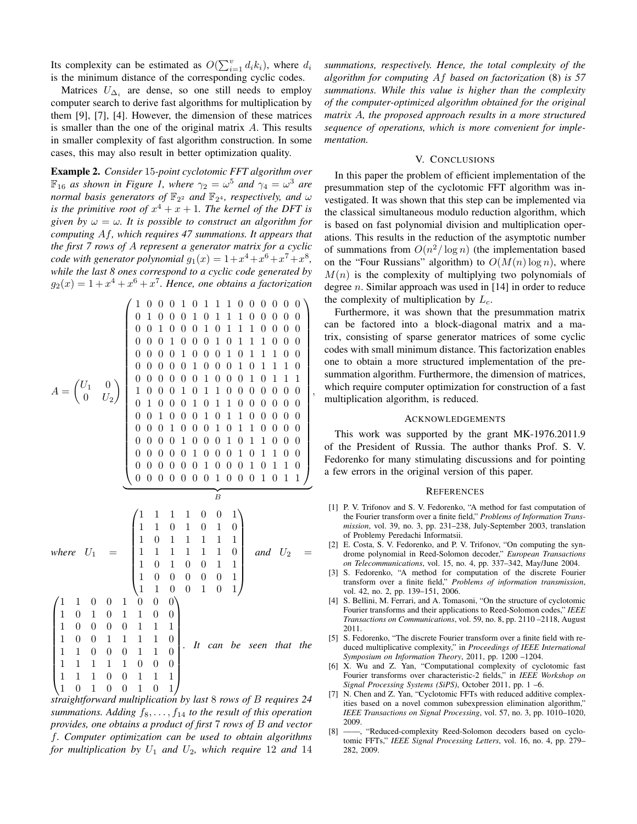Its complexity can be estimated as  $O(\sum_{i=1}^{v} d_i k_i)$ , where  $d_i$ is the minimum distance of the corresponding cyclic codes.

Matrices  $U_{\Delta_i}$  are dense, so one still needs to employ computer search to derive fast algorithms for multiplication by them [9], [7], [4]. However, the dimension of these matrices is smaller than the one of the original matrix *A*. This results in smaller complexity of fast algorithm construction. In some cases, this may also result in better optimization quality.

Example 2. *Consider* 15*-point cyclotomic FFT algorithm over*  $\mathbb{F}_{16}$  *as shown in Figure 1, where*  $\gamma_2 = \omega^5$  *and*  $\gamma_4 = \omega^3$  *are normal basis generators of*  $\mathbb{F}_{2^2}$  *and*  $\mathbb{F}_{2^4}$ *, respectively, and*  $\omega$ *is the primitive root of*  $x^4 + x + 1$ *. The kernel of the DFT is given by*  $\omega = \omega$ *. It is possible to construct an algorithm for computing Af, which requires 47 summations. It appears that the first 7 rows of A represent a generator matrix for a cyclic code with generator polynomial*  $g_1(x) = 1 + x^4 + x^6 + x^7 + x^8$ , *while the last 8 ones correspond to a cyclic code generated by*  $g_2(x) = 1 + x^4 + x^6 + x^7$ . Hence, one obtains a factorization

$$
A = \begin{pmatrix} 1 & 0 & 0 & 1 & 0 & 1 & 1 & 1 & 0 & 0 & 0 & 0 & 0 & 0 \\ 0 & 1 & 0 & 0 & 0 & 1 & 0 & 1 & 1 & 1 & 0 & 0 & 0 & 0 & 0 \\ 0 & 0 & 1 & 0 & 0 & 0 & 1 & 0 & 1 & 1 & 1 & 0 & 0 & 0 & 0 \\ 0 & 0 & 0 & 1 & 0 & 0 & 0 & 1 & 0 & 1 & 1 & 1 & 0 & 0 & 0 \\ 0 & 0 & 0 & 0 & 1 & 0 & 0 & 0 & 1 & 0 & 1 & 1 & 1 & 0 & 0 \\ 0 & 0 & 0 & 0 & 0 & 1 & 0 & 1 & 0 & 1 & 1 & 1 & 0 & 0 & 0 \\ 0 & 0 & 0 & 0 & 0 & 1 & 0 & 1 & 0 & 0 & 0 & 0 & 0 & 0 & 0 \\ 0 & 0 & 0 & 0 & 1 & 0 & 1 & 1 & 0 & 0 & 0 & 0 & 0 & 0 & 0 \\ 0 & 0 & 0 & 1 & 0 & 1 & 1 & 0 & 0 & 0 & 0 & 0 & 0 & 0 & 0 \\ 0 & 0 & 0 & 1 & 0 & 0 & 1 & 0 & 1 & 1 & 0 & 0 & 0 & 0 & 0 \\ 0 & 0 & 0 & 0 & 1 & 0 & 1 & 1 & 1 & 0 & 0 & 0 & 0 & 0 & 0 & 0 \\ 0 & 0 & 0 & 0 & 0 & 1 & 0 & 1 & 0 & 1 & 1 & 0 & 0 & 0 \\ 0 & 0 & 0 & 0 & 0 & 1 & 0 & 1 & 0 & 1 & 1 & 0 & 0 & 0 \\ 0 & 0 & 0 & 0 & 0 & 0 & 1 & 0 & 1 & 0 & 1 & 0 & 0 \\ 1 & 1 & 1 & 1 & 1 & 1 & 1 & 1 & 1 & 1 & 1 & 1 \\ 1 & 0 & 1 & 0 & 1 & 1 & 0 & 0 & 1 & 1 & 1 \\ 1 & 1 & 0 & 0 & 1 & 1 & 1 & 1 & 0 & 0 & 1 \\ 1 & 1 & 0 & 0 & 1 & 1 & 1 & 0 & 0 & 1 &
$$

*straightforward multiplication by last* 8 *rows of B requires 24 summations. Adding*  $f_8, \ldots, f_{14}$  *to the result of this operation provides, one obtains a product of first* 7 *rows of B and vector f. Computer optimization can be used to obtain algorithms for multiplication by U*<sup>1</sup> *and U*2*, which require* 12 *and* 14

*summations, respectively. Hence, the total complexity of the algorithm for computing Af based on factorization* (8) *is 57 summations. While this value is higher than the complexity of the computer-optimized algorithm obtained for the original matrix A, the proposed approach results in a more structured sequence of operations, which is more convenient for implementation.*

### V. CONCLUSIONS

In this paper the problem of efficient implementation of the presummation step of the cyclotomic FFT algorithm was investigated. It was shown that this step can be implemented via the classical simultaneous modulo reduction algorithm, which is based on fast polynomial division and multiplication operations. This results in the reduction of the asymptotic number of summations from  $O(n^2/\log n)$  (the implementation based on the "Four Russians" algorithm) to  $O(M(n) \log n)$ , where  $M(n)$  is the complexity of multiplying two polynomials of degree *n*. Similar approach was used in [14] in order to reduce the complexity of multiplication by *Lc*.

Furthermore, it was shown that the presummation matrix can be factored into a block-diagonal matrix and a matrix, consisting of sparse generator matrices of some cyclic codes with small minimum distance. This factorization enables one to obtain a more structured implementation of the presummation algorithm. Furthermore, the dimension of matrices, which require computer optimization for construction of a fast multiplication algorithm, is reduced.

#### ACKNOWLEDGEMENTS

This work was supported by the grant MK-1976.2011.9 of the President of Russia. The author thanks Prof. S. V. Fedorenko for many stimulating discussions and for pointing a few errors in the original version of this paper.

#### **REFERENCES**

- [1] P. V. Trifonov and S. V. Fedorenko, "A method for fast computation of the Fourier transform over a finite field," *Problems of Information Transmission*, vol. 39, no. 3, pp. 231–238, July-September 2003, translation of Problemy Peredachi Informatsii.
- [2] E. Costa, S. V. Fedorenko, and P. V. Trifonov, "On computing the syndrome polynomial in Reed-Solomon decoder," *European Transactions on Telecommunications*, vol. 15, no. 4, pp. 337–342, May/June 2004.
- [3] S. Fedorenko, "A method for computation of the discrete Fourier transform over a finite field," *Problems of information transmission*, vol. 42, no. 2, pp. 139–151, 2006.
- [4] S. Bellini, M. Ferrari, and A. Tomasoni, "On the structure of cyclotomic Fourier transforms and their applications to Reed-Solomon codes," *IEEE Transactions on Communications*, vol. 59, no. 8, pp. 2110 –2118, August 2011.
- [5] S. Fedorenko, "The discrete Fourier transform over a finite field with reduced multiplicative complexity," in *Proceedings of IEEE International Symposium on Information Theory*, 2011, pp. 1200 –1204.
- [6] X. Wu and Z. Yan, "Computational complexity of cyclotomic fast Fourier transforms over characteristic-2 fields," in *IEEE Workshop on Signal Processing Systems (SiPS)*, October 2011, pp. 1 –6.
- [7] N. Chen and Z. Yan, "Cyclotomic FFTs with reduced additive complexities based on a novel common subexpression elimination algorithm," *IEEE Transactions on Signal Processing*, vol. 57, no. 3, pp. 1010–1020, 2009.
- [8] ——, "Reduced-complexity Reed-Solomon decoders based on cyclotomic FFTs," *IEEE Signal Processing Letters*, vol. 16, no. 4, pp. 279– 282, 2009.